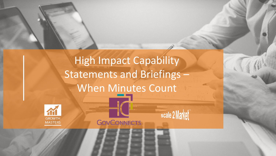

**GOVCONNECTS** 

scale 2 Market

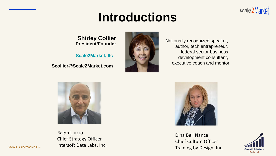# **Introductions**

**Shirley Collier President/Founder**

**[Scale2Market, llc](https://www.scale2market.com/)**

**Scollier@Scale2Market.com**



Nationally recognized speaker, author, tech entrepreneur, federal sector business development consultant, executive coach and mentor



Ralph Liuzzo Chief Strategy Officer Intersoft Data Labs, Inc.



Dina Bell Nance Chief Culture Officer Training by Design, Inc.



scale2Market

©2021 Scale2Market, LLC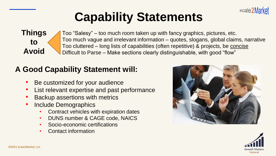

# **Capability Statements**

**Things to Avoid**

Too "Salesy" – too much room taken up with fancy graphics, pictures, etc. Too much vague and irrelevant information – quotes, slogans, global claims, narrative Too cluttered – long lists of capabilities (often repetitive) & projects, be concise Difficult to Parse – Make sections clearly distinguishable, with good "flow"

### **A Good Capability Statement will:**

- Be customized for your audience
- List relevant expertise and past performance
- Backup assertions with metrics
- Include Demographics
	- Contract vehicles with expiration dates
	- DUNS number & CAGE code, NAICS
	- Socio-economic certifications
	- Contact information



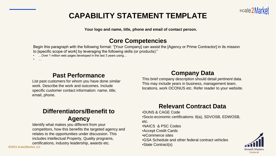

### **CAPABILITY STATEMENT TEMPLATE**

**Your logo and name, title, phone and email of contact person.**

#### **Core Competencies**

Begin this paragraph with the following format: "[Your Company] can assist the [Agency or Prime Contractor] in its mission to [specific scope of work] by leveraging the following skills (or products):"

• ... Over 1 million web pages developed in the last 3 years using...

• …

#### **Past Performance**

List past customers for whom you have done *similar* work. Describe the work and outcomes. Include specific customer contact information: name, title, email, phone.

#### **Company Data**

This brief company description should detail *pertinent* data. This may include years in business, management team, locations, work OCONUS etc. Refer reader to your website.

#### **Differentiators/Benefit to Agency**

Identify what makes you different from your competitors, how this benefits the targeted agency and relates to the opportunities under discussion. This includes Intellectual Property, Quality programs, certifications, industry leadership, awards etc.

©2021 Scale2Market, LLC

#### **Relevant Contract Data**

•DUNS & CAGE Code •Socio-economic certifications: 8(a), SDVOSB, EDWOSB, etc.

•NAICS & PSC Codes

- •Accept Credit Cards
- •eCommerce sites
- •GSA Schedule and other federal contract vehicles

•State Contract(s)

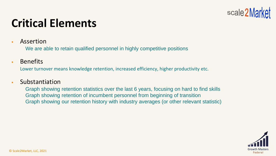

### **Critical Elements**

■ Assertion

We are able to retain qualified personnel in highly competitive positions

▪ Benefits

Lower turnover means knowledge retention, increased efficiency, higher productivity etc.

#### ▪ Substantiation

Graph showing retention statistics over the last 6 years, focusing on hard to find skills Graph showing retention of incumbent personnel from beginning of transition Graph showing our retention history with industry averages (or other relevant statistic)

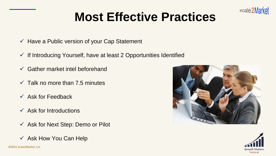

# **Most Effective Practices**

- $\checkmark$  Have a Public version of your Cap Statement
- $\checkmark$  If Introducing Yourself, have at least 2 Opportunities Identified
- $\checkmark$  Gather market intel beforehand
- $\checkmark$  Talk no more than 7.5 minutes
- $\checkmark$  Ask for Feedback
- $\checkmark$  Ask for Introductions
- $\checkmark$  Ask for Next Step: Demo or Pilot
- $\checkmark$  Ask How You Can Help



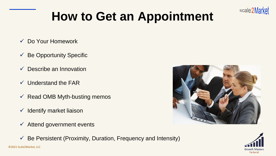

# **How to Get an Appointment**

- ✓ Do Your Homework
- $\checkmark$  Be Opportunity Specific
- $\checkmark$  Describe an Innovation
- $\checkmark$  Understand the FAR
- $\checkmark$  Read OMB Myth-busting memos
- $\checkmark$  Identify market liaison
- $\checkmark$  Attend government events



 $\checkmark$  Be Persistent (Proximity, Duration, Frequency and Intensity)